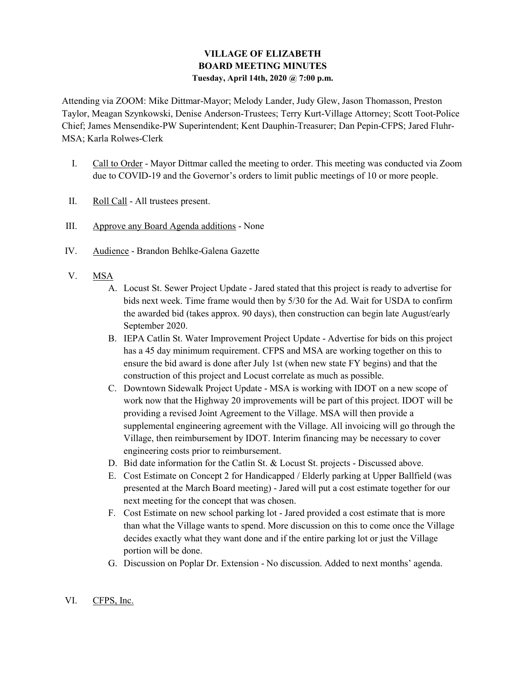# VILLAGE OF ELIZABETH BOARD MEETING MINUTES Tuesday, April 14th, 2020 @ 7:00 p.m.

Attending via ZOOM: Mike Dittmar-Mayor; Melody Lander, Judy Glew, Jason Thomasson, Preston Taylor, Meagan Szynkowski, Denise Anderson-Trustees; Terry Kurt-Village Attorney; Scott Toot-Police Chief; James Mensendike-PW Superintendent; Kent Dauphin-Treasurer; Dan Pepin-CFPS; Jared Fluhr-MSA; Karla Rolwes-Clerk

- I. Call to Order Mayor Dittmar called the meeting to order. This meeting was conducted via Zoom due to COVID-19 and the Governor's orders to limit public meetings of 10 or more people.
- II. Roll Call All trustees present.
- III. Approve any Board Agenda additions None
- IV. Audience Brandon Behlke-Galena Gazette
- V. MSA
	- A. Locust St. Sewer Project Update Jared stated that this project is ready to advertise for bids next week. Time frame would then by 5/30 for the Ad. Wait for USDA to confirm the awarded bid (takes approx. 90 days), then construction can begin late August/early September 2020.
	- B. IEPA Catlin St. Water Improvement Project Update Advertise for bids on this project has a 45 day minimum requirement. CFPS and MSA are working together on this to ensure the bid award is done after July 1st (when new state FY begins) and that the construction of this project and Locust correlate as much as possible.
	- C. Downtown Sidewalk Project Update MSA is working with IDOT on a new scope of work now that the Highway 20 improvements will be part of this project. IDOT will be providing a revised Joint Agreement to the Village. MSA will then provide a supplemental engineering agreement with the Village. All invoicing will go through the Village, then reimbursement by IDOT. Interim financing may be necessary to cover engineering costs prior to reimbursement.
	- D. Bid date information for the Catlin St. & Locust St. projects Discussed above.
	- E. Cost Estimate on Concept 2 for Handicapped / Elderly parking at Upper Ballfield (was presented at the March Board meeting) - Jared will put a cost estimate together for our next meeting for the concept that was chosen.
	- F. Cost Estimate on new school parking lot Jared provided a cost estimate that is more than what the Village wants to spend. More discussion on this to come once the Village decides exactly what they want done and if the entire parking lot or just the Village portion will be done.
	- G. Discussion on Poplar Dr. Extension No discussion. Added to next months' agenda.
- VI. CFPS, Inc.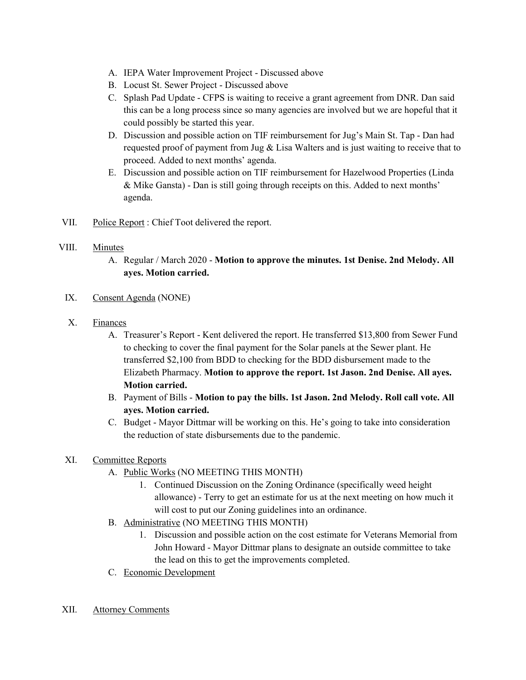- A. IEPA Water Improvement Project Discussed above
- B. Locust St. Sewer Project Discussed above
- C. Splash Pad Update CFPS is waiting to receive a grant agreement from DNR. Dan said this can be a long process since so many agencies are involved but we are hopeful that it could possibly be started this year.
- D. Discussion and possible action on TIF reimbursement for Jug's Main St. Tap Dan had requested proof of payment from Jug & Lisa Walters and is just waiting to receive that to proceed. Added to next months' agenda.
- E. Discussion and possible action on TIF reimbursement for Hazelwood Properties (Linda & Mike Gansta) - Dan is still going through receipts on this. Added to next months' agenda.
- VII. Police Report : Chief Toot delivered the report.

### VIII. Minutes

- A. Regular / March 2020 Motion to approve the minutes. 1st Denise. 2nd Melody. All ayes. Motion carried.
- IX. Consent Agenda (NONE)
- X. Finances
	- A. Treasurer's Report Kent delivered the report. He transferred \$13,800 from Sewer Fund to checking to cover the final payment for the Solar panels at the Sewer plant. He transferred \$2,100 from BDD to checking for the BDD disbursement made to the Elizabeth Pharmacy. Motion to approve the report. 1st Jason. 2nd Denise. All ayes. Motion carried.
	- B. Payment of Bills Motion to pay the bills. 1st Jason. 2nd Melody. Roll call vote. All ayes. Motion carried.
	- C. Budget Mayor Dittmar will be working on this. He's going to take into consideration the reduction of state disbursements due to the pandemic.

## XI. Committee Reports

- A. Public Works (NO MEETING THIS MONTH)
	- 1. Continued Discussion on the Zoning Ordinance (specifically weed height allowance) - Terry to get an estimate for us at the next meeting on how much it will cost to put our Zoning guidelines into an ordinance.
- B. Administrative (NO MEETING THIS MONTH)
	- 1. Discussion and possible action on the cost estimate for Veterans Memorial from John Howard - Mayor Dittmar plans to designate an outside committee to take the lead on this to get the improvements completed.
- C. Economic Development
- XII. Attorney Comments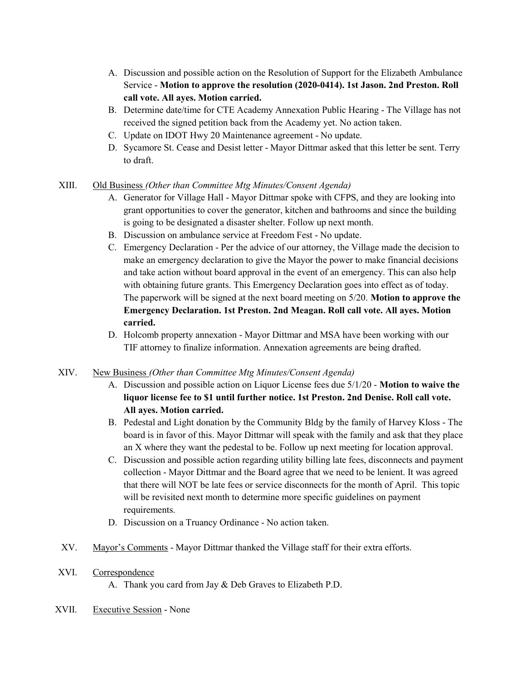- A. Discussion and possible action on the Resolution of Support for the Elizabeth Ambulance Service - Motion to approve the resolution (2020-0414). 1st Jason. 2nd Preston. Roll call vote. All ayes. Motion carried.
- B. Determine date/time for CTE Academy Annexation Public Hearing The Village has not received the signed petition back from the Academy yet. No action taken.
- C. Update on IDOT Hwy 20 Maintenance agreement No update.
- D. Sycamore St. Cease and Desist letter Mayor Dittmar asked that this letter be sent. Terry to draft.

### XIII. Old Business (Other than Committee Mtg Minutes/Consent Agenda)

- A. Generator for Village Hall Mayor Dittmar spoke with CFPS, and they are looking into grant opportunities to cover the generator, kitchen and bathrooms and since the building is going to be designated a disaster shelter. Follow up next month.
- B. Discussion on ambulance service at Freedom Fest No update.
- C. Emergency Declaration Per the advice of our attorney, the Village made the decision to make an emergency declaration to give the Mayor the power to make financial decisions and take action without board approval in the event of an emergency. This can also help with obtaining future grants. This Emergency Declaration goes into effect as of today. The paperwork will be signed at the next board meeting on 5/20. Motion to approve the Emergency Declaration. 1st Preston. 2nd Meagan. Roll call vote. All ayes. Motion carried.
- D. Holcomb property annexation Mayor Dittmar and MSA have been working with our TIF attorney to finalize information. Annexation agreements are being drafted.
- XIV. New Business (Other than Committee Mtg Minutes/Consent Agenda)
	- A. Discussion and possible action on Liquor License fees due 5/1/20 Motion to waive the liquor license fee to \$1 until further notice. 1st Preston. 2nd Denise. Roll call vote. All ayes. Motion carried.
	- B. Pedestal and Light donation by the Community Bldg by the family of Harvey Kloss The board is in favor of this. Mayor Dittmar will speak with the family and ask that they place an X where they want the pedestal to be. Follow up next meeting for location approval.
	- C. Discussion and possible action regarding utility billing late fees, disconnects and payment collection - Mayor Dittmar and the Board agree that we need to be lenient. It was agreed that there will NOT be late fees or service disconnects for the month of April. This topic will be revisited next month to determine more specific guidelines on payment requirements.
	- D. Discussion on a Truancy Ordinance No action taken.
- XV. Mayor's Comments Mayor Dittmar thanked the Village staff for their extra efforts.
- XVI. Correspondence
	- A. Thank you card from Jay & Deb Graves to Elizabeth P.D.
- XVII. Executive Session None